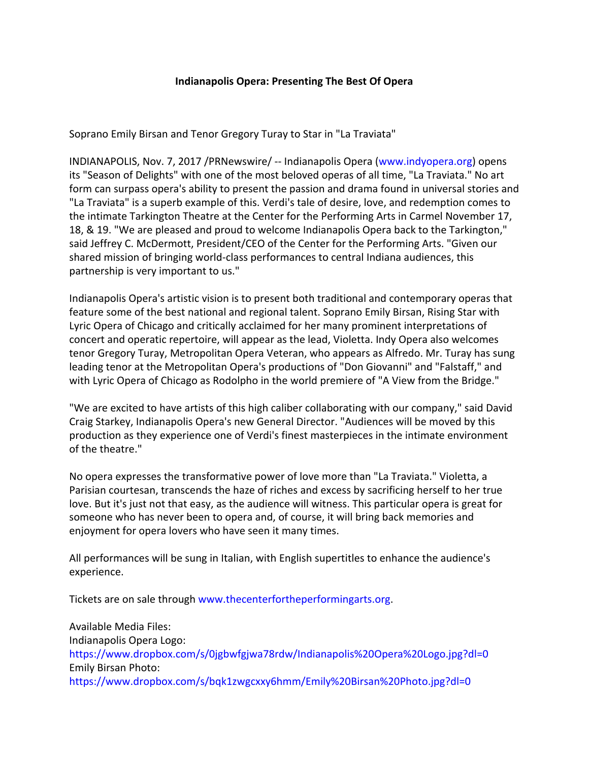## **Indianapolis Opera: Presenting The Best Of Opera**

Soprano Emily Birsan and Tenor Gregory Turay to Star in "La Traviata"

INDIANAPOLIS, Nov. 7, 2017 /PRNewswire/ -- Indianapolis Opera ([www.indyopera.org](http://www.indyopera.org/)) opens its "Season of Delights" with one of the most beloved operas of all time, "La Traviata." No art form can surpass opera's ability to present the passion and drama found in universal stories and "La Traviata" is a superb example of this. Verdi's tale of desire, love, and redemption comes to the intimate Tarkington Theatre at the Center for the Performing Arts in Carmel November 17, 18, & 19. "We are pleased and proud to welcome Indianapolis Opera back to the Tarkington," said Jeffrey C. McDermott, President/CEO of the Center for the Performing Arts. "Given our shared mission of bringing world-class performances to central Indiana audiences, this partnership is very important to us."

Indianapolis Opera's artistic vision is to present both traditional and contemporary operas that feature some of the best national and regional talent. Soprano Emily Birsan, Rising Star with Lyric Opera of Chicago and critically acclaimed for her many prominent interpretations of concert and operatic repertoire, will appear as the lead, Violetta. Indy Opera also welcomes tenor Gregory Turay, Metropolitan Opera Veteran, who appears as Alfredo. Mr. Turay has sung leading tenor at the Metropolitan Opera's productions of "Don Giovanni" and "Falstaff," and with Lyric Opera of Chicago as Rodolpho in the world premiere of "A View from the Bridge."

"We are excited to have artists of this high caliber collaborating with our company," said David Craig Starkey, Indianapolis Opera's new General Director. "Audiences will be moved by this production as they experience one of Verdi's finest masterpieces in the intimate environment of the theatre."

No opera expresses the transformative power of love more than "La Traviata." Violetta, a Parisian courtesan, transcends the haze of riches and excess by sacrificing herself to her true love. But it's just not that easy, as the audience will witness. This particular opera is great for someone who has never been to opera and, of course, it will bring back memories and enjoyment for opera lovers who have seen it many times.

All performances will be sung in Italian, with English supertitles to enhance the audience's experience.

Tickets are on sale through [www.thecenterfortheperformingarts.org.](http://www.thecenterfortheperformingarts.org/)

Available Media Files: Indianapolis Opera Logo: <https://www.dropbox.com/s/0jgbwfgjwa78rdw/Indianapolis%20Opera%20Logo.jpg?dl=0> Emily Birsan Photo: <https://www.dropbox.com/s/bqk1zwgcxxy6hmm/Emily%20Birsan%20Photo.jpg?dl=0>